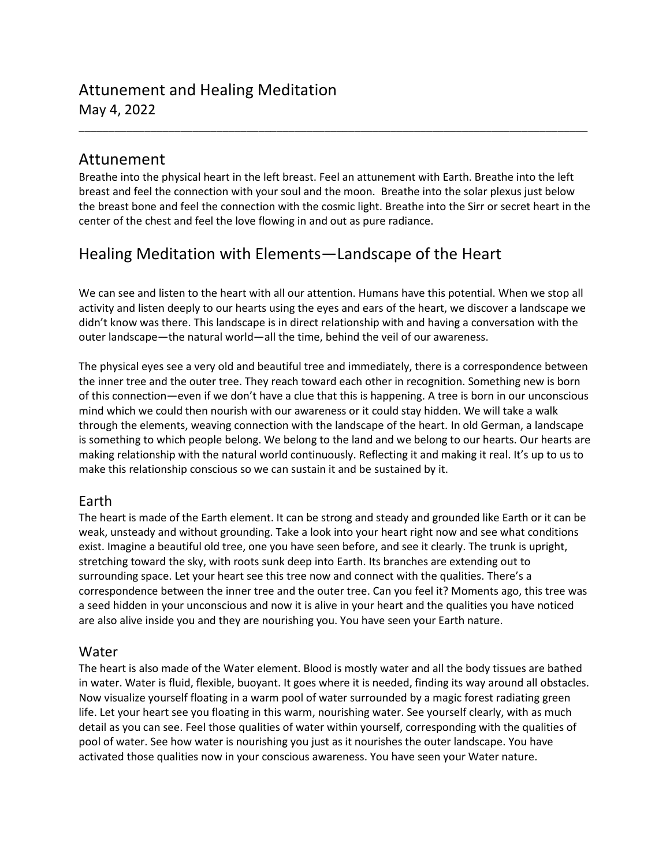# Attunement and Healing Meditation May 4, 2022

## Attunement

Breathe into the physical heart in the left breast. Feel an attunement with Earth. Breathe into the left breast and feel the connection with your soul and the moon. Breathe into the solar plexus just below the breast bone and feel the connection with the cosmic light. Breathe into the Sirr or secret heart in the center of the chest and feel the love flowing in and out as pure radiance.

\_\_\_\_\_\_\_\_\_\_\_\_\_\_\_\_\_\_\_\_\_\_\_\_\_\_\_\_\_\_\_\_\_\_\_\_\_\_\_\_\_\_\_\_\_\_\_\_\_\_\_\_\_\_\_\_\_\_\_\_\_\_\_\_\_\_\_\_\_\_\_\_\_\_\_\_\_\_\_\_\_\_\_\_\_

## Healing Meditation with Elements—Landscape of the Heart

We can see and listen to the heart with all our attention. Humans have this potential. When we stop all activity and listen deeply to our hearts using the eyes and ears of the heart, we discover a landscape we didn't know was there. This landscape is in direct relationship with and having a conversation with the outer landscape—the natural world—all the time, behind the veil of our awareness.

The physical eyes see a very old and beautiful tree and immediately, there is a correspondence between the inner tree and the outer tree. They reach toward each other in recognition. Something new is born of this connection—even if we don't have a clue that this is happening. A tree is born in our unconscious mind which we could then nourish with our awareness or it could stay hidden. We will take a walk through the elements, weaving connection with the landscape of the heart. In old German, a landscape is something to which people belong. We belong to the land and we belong to our hearts. Our hearts are making relationship with the natural world continuously. Reflecting it and making it real. It's up to us to make this relationship conscious so we can sustain it and be sustained by it.

## Earth

The heart is made of the Earth element. It can be strong and steady and grounded like Earth or it can be weak, unsteady and without grounding. Take a look into your heart right now and see what conditions exist. Imagine a beautiful old tree, one you have seen before, and see it clearly. The trunk is upright, stretching toward the sky, with roots sunk deep into Earth. Its branches are extending out to surrounding space. Let your heart see this tree now and connect with the qualities. There's a correspondence between the inner tree and the outer tree. Can you feel it? Moments ago, this tree was a seed hidden in your unconscious and now it is alive in your heart and the qualities you have noticed are also alive inside you and they are nourishing you. You have seen your Earth nature.

## Water

The heart is also made of the Water element. Blood is mostly water and all the body tissues are bathed in water. Water is fluid, flexible, buoyant. It goes where it is needed, finding its way around all obstacles. Now visualize yourself floating in a warm pool of water surrounded by a magic forest radiating green life. Let your heart see you floating in this warm, nourishing water. See yourself clearly, with as much detail as you can see. Feel those qualities of water within yourself, corresponding with the qualities of pool of water. See how water is nourishing you just as it nourishes the outer landscape. You have activated those qualities now in your conscious awareness. You have seen your Water nature.